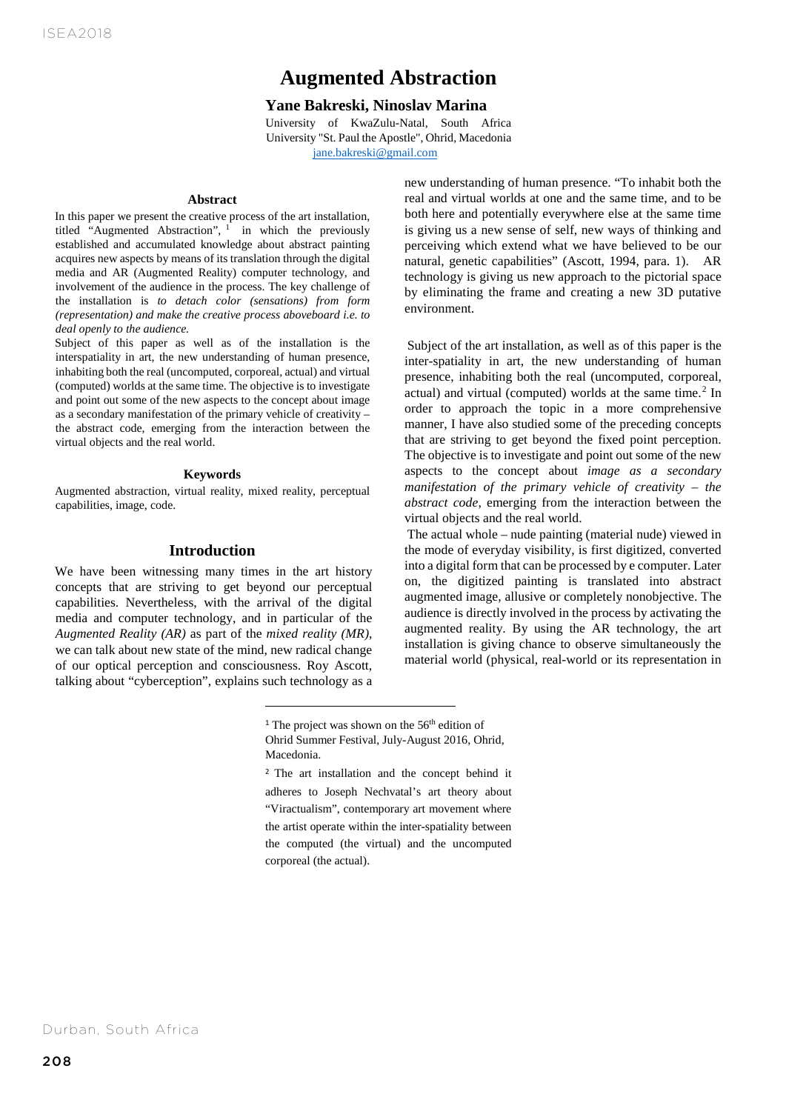# **Augmented Abstraction**

### **Yane Bakreski, Ninoslav Marina**

**AUGMENTED ARTIONS AFTER**<br>University of KwaZulu-Natal, South Africa University "St. Paul the Apostle", Ohrid, Macedonia jane.bakreski@gmail.com

#### **Abstract**

In this paper we present the creative process of the art installation, titled "Augmented Abstraction", <sup>1</sup> in which the previously established and accumulated knowledge about abstract painting acquires new aspects by means of its translation through the digital media and AR (Augmented Reality) computer technology, and involvement of the audience in the process. The key challenge of the installation is *to detach color (sensations) from form (representation) and make the creative process aboveboard i.e. to deal openly to the audience.*

Subject of this paper as well as of the installation is the interspatiality in art, the new understanding of human presence, inhabiting both the real (uncomputed, corporeal, actual) and virtual (computed) worlds at the same time. The objective is to investigate and point out some of the new aspects to the concept about image as a secondary manifestation of the primary vehicle of creativity – the abstract code, emerging from the interaction between the virtual objects and the real world.

#### **Keywords**

Augmented abstraction, virtual reality, mixed reality, perceptual capabilities, image, code.

#### **Introduction**

We have been witnessing many times in the art history concepts that are striving to get beyond our perceptual capabilities. Nevertheless, with the arrival of the digital media and computer technology, and in particular of the *Augmented Reality (AR)* as part of the *mixed reality (MR)*, we can talk about new state of the mind, new radical change of our optical perception and consciousness. Roy Ascott, talking about "cyberception", explains such technology as a new understanding of human presence. "To inhabit both the real and virtual worlds at one and the same time, and to be both here and potentially everywhere else at the same time is giving us a new sense of self, new ways of thinking and perceiving which extend what we have believed to be our natural, genetic capabilities" (Ascott, 1994, para. 1). AR technology is giving us new approach to the pictorial space by eliminating the frame and creating a new 3D putative environment.

Subject of the art installation, as well as of this paper is the inter-spatiality in art, the new understanding of human presence, inhabiting both the real (uncomputed, corporeal, actual) and virtual (computed) worlds at the same time.<sup>2</sup> In order to approach the topic in a more comprehensive manner, I have also studied some of the preceding concepts that are striving to get beyond the fixed point perception. The objective is to investigate and point out some of the new aspects to the concept about *image as a secondary manifestation of the primary vehicle of creativity – the abstract code*, emerging from the interaction between the virtual objects and the real world.

The actual whole – nude painting (material nude) viewed in the mode of everyday visibility, is first digitized, converted into a digital form that can be processed by e computer. Later on, the digitized painting is translated into abstract augmented image, allusive or completely nonobjective. The audience is directly involved in the process by activating the augmented reality. By using the AR technology, the art installation is giving chance to observe simultaneously the material world (physical, real-world or its representation in

<sup>&</sup>lt;sup>1</sup> The project was shown on the 56<sup>th</sup> edition of Ohrid Summer Festival, July-August 2016, Ohrid, Macedonia.

<sup>2</sup> The art installation and the concept behind it adheres to Joseph Nechvatal's art theory about "Viractualism", contemporary art movement where the artist operate within the inter-spatiality between the computed (the virtual) and the uncomputed corporeal (the actual).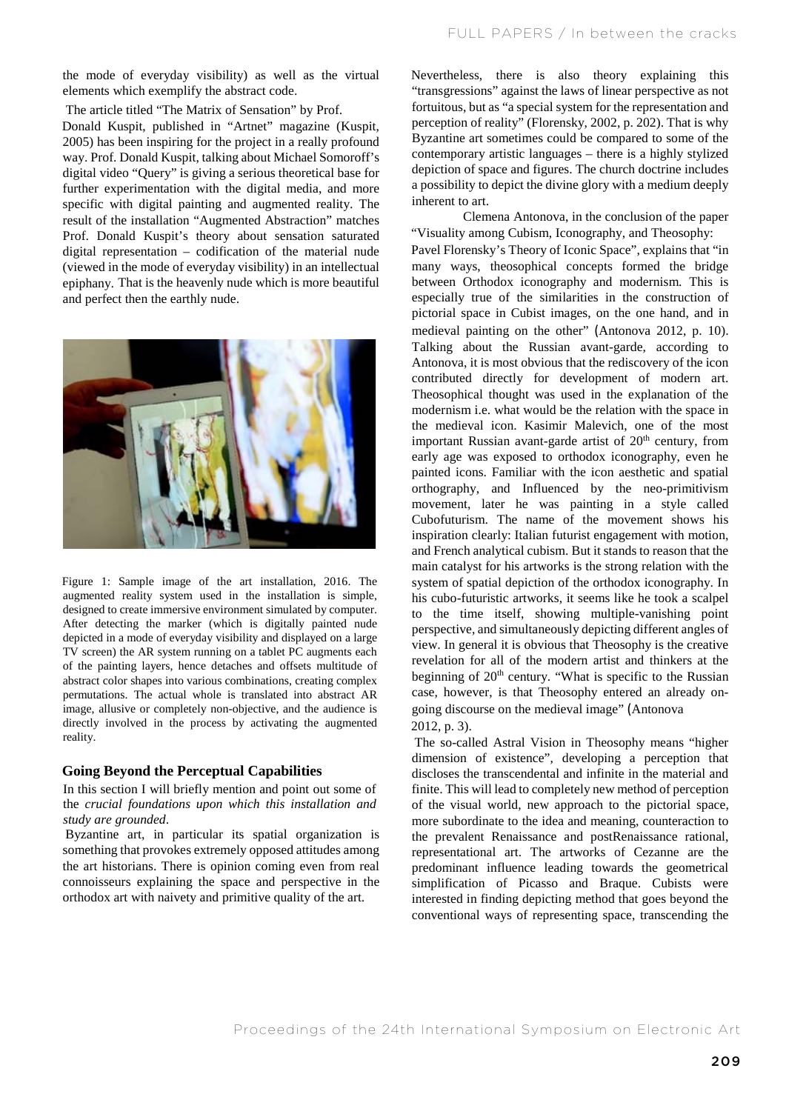the mode of everyday visibility) as well as the virtual elements which exemplify the abstract code.

The article titled "The Matrix of Sensation" by Prof. Donald Kuspit, published in "Artnet" magazine (Kuspit, 2005) has been inspiring for the project in a really profound way. Prof. Donald Kuspit, talking about Michael Somoroff's digital video "Query" is giving a serious theoretical base for further experimentation with the digital media, and more specific with digital painting and augmented reality. The result of the installation "Augmented Abstraction" matches Prof. Donald Kuspit's theory about sensation saturated digital representation – codification of the material nude (viewed in the mode of everyday visibility) in an intellectual epiphany. That is the heavenly nude which is more beautiful and perfect then the earthly nude.



Figure 1: Sample image of the art installation, 2016. The augmented reality system used in the installation is simple, designed to create immersive environment simulated by computer. After detecting the marker (which is digitally painted nude depicted in a mode of everyday visibility and displayed on a large TV screen) the AR system running on a tablet PC augments each of the painting layers, hence detaches and offsets multitude of abstract color shapes into various combinations, creating complex permutations. The actual whole is translated into abstract AR image, allusive or completely non-objective, and the audience is directly involved in the process by activating the augmented reality.

### **Going Beyond the Perceptual Capabilities**

In this section I will briefly mention and point out some of the *crucial foundations upon which this installation and study are grounded*.

Byzantine art, in particular its spatial organization is something that provokes extremely opposed attitudes among the art historians. There is opinion coming even from real connoisseurs explaining the space and perspective in the orthodox art with naivety and primitive quality of the art.

Nevertheless, there is also theory explaining this "transgressions" against the laws of linear perspective as not fortuitous, but as "a special system for the representation and perception of reality" (Florensky, 2002, p. 202). That is why Byzantine art sometimes could be compared to some of the contemporary artistic languages – there is a highly stylized depiction of space and figures. The church doctrine includes a possibility to depict the divine glory with a medium deeply inherent to art.

Clemena Antonova, in the conclusion of the paper "Visuality among Cubism, Iconography, and Theosophy: Pavel Florensky's Theory of Iconic Space", explains that "in many ways, theosophical concepts formed the bridge between Orthodox iconography and modernism. This is especially true of the similarities in the construction of pictorial space in Cubist images, on the one hand, and in medieval painting on the other" (Antonova 2012, p. 10). Talking about the Russian avant-garde, according to Antonova, it is most obvious that the rediscovery of the icon contributed directly for development of modern art. Theosophical thought was used in the explanation of the modernism i.e. what would be the relation with the space in the medieval icon. Kasimir Malevich, one of the most important Russian avant-garde artist of  $20<sup>th</sup>$  century, from early age was exposed to orthodox iconography, even he painted icons. Familiar with the icon aesthetic and spatial orthography, and Influenced by the neo-primitivism movement, later he was painting in a style called Cubofuturism. The name of the movement shows his inspiration clearly: Italian futurist engagement with motion, and French analytical cubism. But it stands to reason that the main catalyst for his artworks is the strong relation with the system of spatial depiction of the orthodox iconography. In his cubo-futuristic artworks, it seems like he took a scalpel to the time itself, showing multiple-vanishing point perspective, and simultaneously depicting different angles of view. In general it is obvious that Theosophy is the creative revelation for all of the modern artist and thinkers at the beginning of  $20<sup>th</sup>$  century. "What is specific to the Russian case, however, is that Theosophy entered an already ongoing discourse on the medieval image" (Antonova 2012, p. 3).

The so-called Astral Vision in Theosophy means "higher dimension of existence", developing a perception that discloses the transcendental and infinite in the material and finite. This will lead to completely new method of perception of the visual world, new approach to the pictorial space, more subordinate to the idea and meaning, counteraction to the prevalent Renaissance and postRenaissance rational, representational art. The artworks of Cezanne are the predominant influence leading towards the geometrical simplification of Picasso and Braque. Cubists were interested in finding depicting method that goes beyond the conventional ways of representing space, transcending the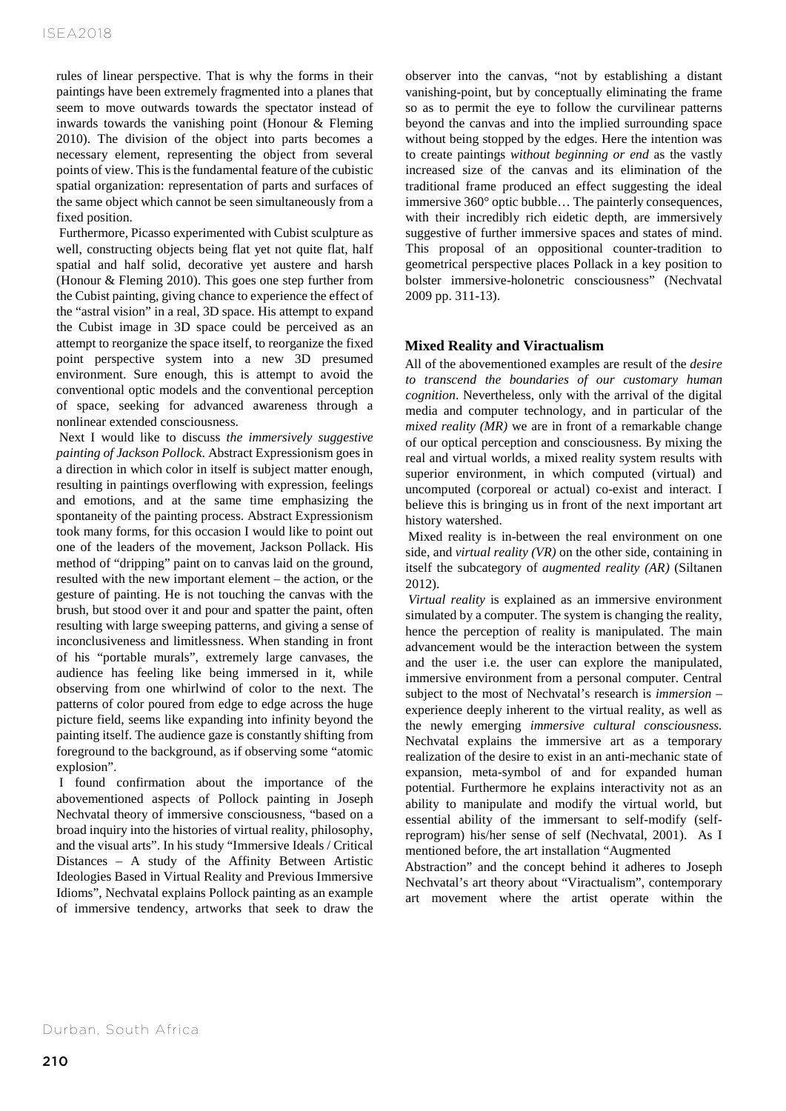rules of linear perspective. That is why the forms in their paintings have been extremely fragmented into a planes that seem to move outwards towards the spectator instead of inwards towards the vanishing point (Honour & Fleming 2010). The division of the object into parts becomes a necessary element, representing the object from several points of view. This is the fundamental feature of the cubistic spatial organization: representation of parts and surfaces of the same object which cannot be seen simultaneously from a fixed position.

Furthermore, Picasso experimented with Cubist sculpture as well, constructing objects being flat yet not quite flat, half spatial and half solid, decorative yet austere and harsh (Honour & Fleming 2010). This goes one step further from the Cubist painting, giving chance to experience the effect of the "astral vision" in a real, 3D space. His attempt to expand the Cubist image in 3D space could be perceived as an attempt to reorganize the space itself, to reorganize the fixed point perspective system into a new 3D presumed environment. Sure enough, this is attempt to avoid the conventional optic models and the conventional perception of space, seeking for advanced awareness through a nonlinear extended consciousness.

Next I would like to discuss *the immersively suggestive painting of Jackson Pollock*. Abstract Expressionism goes in a direction in which color in itself is subject matter enough, resulting in paintings overflowing with expression, feelings and emotions, and at the same time emphasizing the spontaneity of the painting process. Abstract Expressionism took many forms, for this occasion I would like to point out one of the leaders of the movement, Jackson Pollack. His method of "dripping" paint on to canvas laid on the ground, resulted with the new important element – the action, or the gesture of painting. He is not touching the canvas with the brush, but stood over it and pour and spatter the paint, often resulting with large sweeping patterns, and giving a sense of inconclusiveness and limitlessness. When standing in front of his "portable murals", extremely large canvases, the audience has feeling like being immersed in it, while observing from one whirlwind of color to the next. The patterns of color poured from edge to edge across the huge picture field, seems like expanding into infinity beyond the painting itself. The audience gaze is constantly shifting from foreground to the background, as if observing some "atomic explosion".

I found confirmation about the importance of the abovementioned aspects of Pollock painting in Joseph Nechvatal theory of immersive consciousness, "based on a broad inquiry into the histories of virtual reality, philosophy, and the visual arts". In his study "Immersive Ideals / Critical Distances – A study of the Affinity Between Artistic Ideologies Based in Virtual Reality and Previous Immersive Idioms", Nechvatal explains Pollock painting as an example of immersive tendency, artworks that seek to draw the

observer into the canvas, "not by establishing a distant vanishing-point, but by conceptually eliminating the frame so as to permit the eye to follow the curvilinear patterns beyond the canvas and into the implied surrounding space without being stopped by the edges. Here the intention was to create paintings *without beginning or end* as the vastly increased size of the canvas and its elimination of the traditional frame produced an effect suggesting the ideal immersive 360° optic bubble… The painterly consequences, with their incredibly rich eidetic depth, are immersively suggestive of further immersive spaces and states of mind. This proposal of an oppositional counter-tradition to geometrical perspective places Pollack in a key position to bolster immersive-holonetric consciousness" (Nechvatal 2009 pp. 311-13).

## **Mixed Reality and Viractualism**

All of the abovementioned examples are result of the *desire to transcend the boundaries of our customary human cognition*. Nevertheless, only with the arrival of the digital media and computer technology, and in particular of the *mixed reality (MR)* we are in front of a remarkable change of our optical perception and consciousness. By mixing the real and virtual worlds, a mixed reality system results with superior environment, in which computed (virtual) and uncomputed (corporeal or actual) co-exist and interact. I believe this is bringing us in front of the next important art history watershed.

Mixed reality is in-between the real environment on one side, and *virtual reality (VR)* on the other side, containing in itself the subcategory of *augmented reality (AR)* (Siltanen 2012).

*Virtual reality* is explained as an immersive environment simulated by a computer. The system is changing the reality, hence the perception of reality is manipulated. The main advancement would be the interaction between the system and the user i.e. the user can explore the manipulated, immersive environment from a personal computer. Central subject to the most of Nechvatal's research is *immersion* – experience deeply inherent to the virtual reality, as well as the newly emerging *immersive cultural consciousness.* Nechvatal explains the immersive art as a temporary realization of the desire to exist in an anti-mechanic state of expansion, meta-symbol of and for expanded human potential. Furthermore he explains interactivity not as an ability to manipulate and modify the virtual world, but essential ability of the immersant to self-modify (selfreprogram) his/her sense of self (Nechvatal, 2001). As I mentioned before, the art installation "Augmented

Abstraction" and the concept behind it adheres to Joseph Nechvatal's art theory about "Viractualism", contemporary art movement where the artist operate within the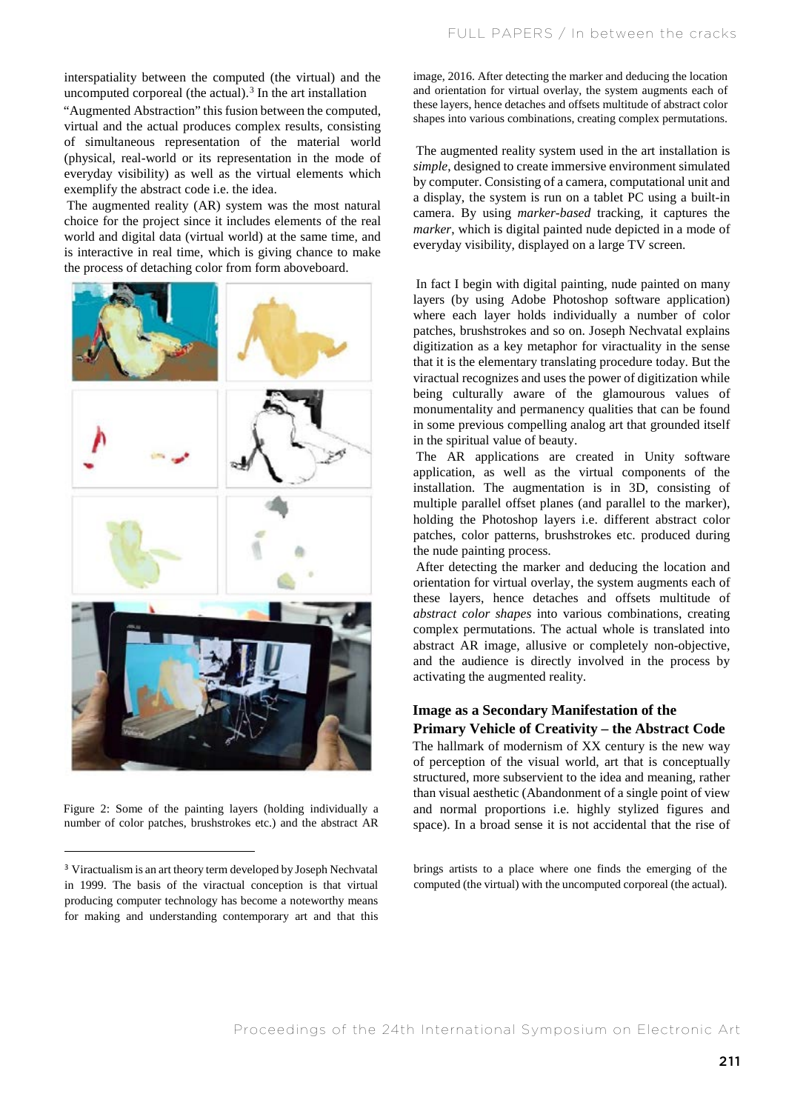interspatiality between the computed (the virtual) and the uncomputed corporeal (the actual). $3$  In the art installation

"Augmented Abstraction" this fusion between the computed, virtual and the actual produces complex results, consisting of simultaneous representation of the material world (physical, real-world or its representation in the mode of everyday visibility) as well as the virtual elements which exemplify the abstract code i.e. the idea.

The augmented reality (AR) system was the most natural choice for the project since it includes elements of the real world and digital data (virtual world) at the same time, and is interactive in real time, which is giving chance to make the process of detaching color from form aboveboard.



Figure 2: Some of the painting layers (holding individually a number of color patches, brushstrokes etc.) and the abstract AR

image, 2016. After detecting the marker and deducing the location and orientation for virtual overlay, the system augments each of these layers, hence detaches and offsets multitude of abstract color shapes into various combinations, creating complex permutations.

The augmented reality system used in the art installation is *simple*, designed to create immersive environment simulated by computer. Consisting of a camera, computational unit and a display, the system is run on a tablet PC using a built-in camera. By using *marker-based* tracking, it captures the *marker*, which is digital painted nude depicted in a mode of everyday visibility, displayed on a large TV screen.

In fact I begin with digital painting, nude painted on many layers (by using Adobe Photoshop software application) where each layer holds individually a number of color patches, brushstrokes and so on. Joseph Nechvatal explains digitization as a key metaphor for viractuality in the sense that it is the elementary translating procedure today. But the viractual recognizes and uses the power of digitization while being culturally aware of the glamourous values of monumentality and permanency qualities that can be found in some previous compelling analog art that grounded itself in the spiritual value of beauty.

The AR applications are created in Unity software application, as well as the virtual components of the installation. The augmentation is in 3D, consisting of multiple parallel offset planes (and parallel to the marker), holding the Photoshop layers i.e. different abstract color patches, color patterns, brushstrokes etc. produced during the nude painting process.

After detecting the marker and deducing the location and orientation for virtual overlay, the system augments each of these layers, hence detaches and offsets multitude of *abstract color shapes* into various combinations, creating complex permutations. The actual whole is translated into abstract AR image, allusive or completely non-objective, and the audience is directly involved in the process by activating the augmented reality.

## **Image as a Secondary Manifestation of the Primary Vehicle of Creativity – the Abstract Code**

The hallmark of modernism of XX century is the new way of perception of the visual world, art that is conceptually structured, more subservient to the idea and meaning, rather than visual aesthetic (Abandonment of a single point of view and normal proportions i.e. highly stylized figures and space). In a broad sense it is not accidental that the rise of

brings artists to a place where one finds the emerging of the computed (the virtual) with the uncomputed corporeal (the actual).

<sup>3</sup> Viractualism is an art theory term developed by Joseph Nechvatal in 1999. The basis of the viractual conception is that virtual producing computer technology has become a noteworthy means for making and understanding contemporary art and that this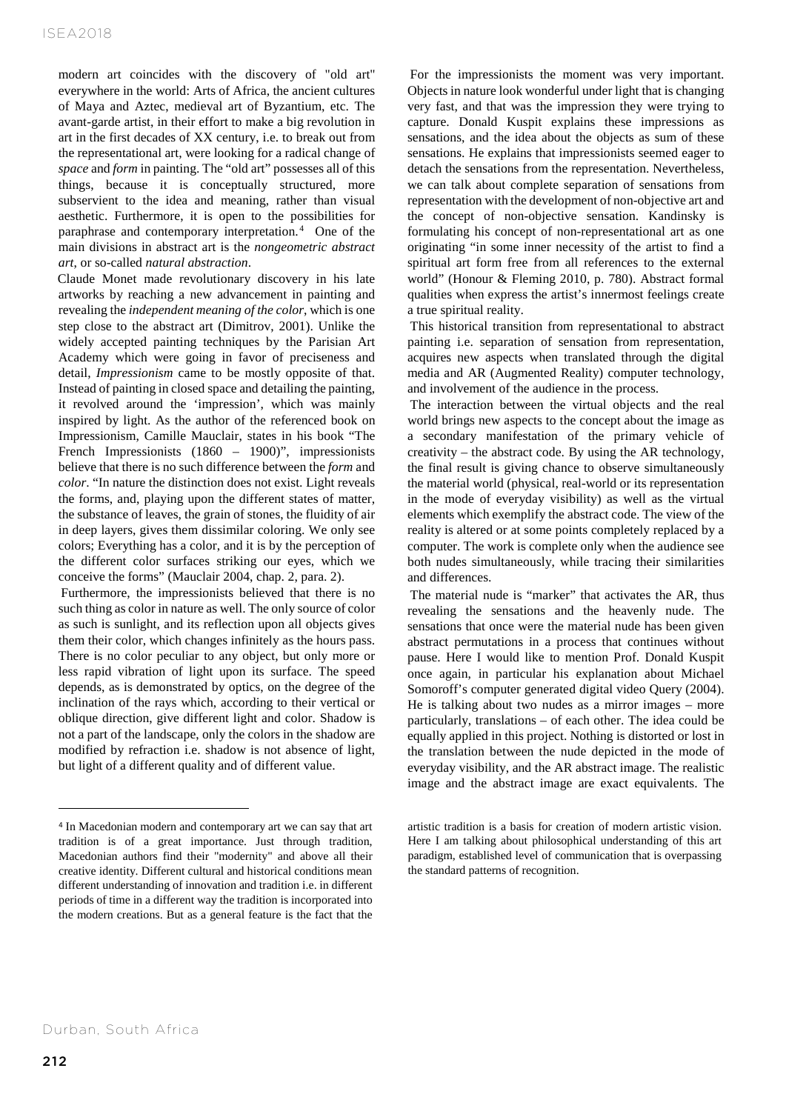modern art coincides with the discovery of "old art" everywhere in the world: Arts of Africa, the ancient cultures of Maya and Aztec, medieval art of Byzantium, etc. The avant-garde artist, in their effort to make a big revolution in art in the first decades of XX century, i.e. to break out from the representational art, were looking for a radical change of *space* and *form* in painting. The "old art" possesses all of this things, because it is conceptually structured, more subservient to the idea and meaning, rather than visual aesthetic. Furthermore, it is open to the possibilities for paraphrase and contemporary interpretation. <sup>4</sup> One of the main divisions in abstract art is the *nongeometric abstract art*, or so-called *natural abstraction*.

Claude Monet made revolutionary discovery in his late artworks by reaching a new advancement in painting and revealing the *independent meaning of the color*, which is one step close to the abstract art (Dimitrov, 2001). Unlike the widely accepted painting techniques by the Parisian Art Academy which were going in favor of preciseness and detail, *Impressionism* came to be mostly opposite of that. Instead of painting in closed space and detailing the painting, it revolved around the 'impression', which was mainly inspired by light. As the author of the referenced book on Impressionism, Camille Mauclair, states in his book "The French Impressionists (1860 – 1900)", impressionists believe that there is no such difference between the *form* and *color*. "In nature the distinction does not exist. Light reveals the forms, and, playing upon the different states of matter, the substance of leaves, the grain of stones, the fluidity of air in deep layers, gives them dissimilar coloring. We only see colors; Everything has a color, and it is by the perception of the different color surfaces striking our eyes, which we conceive the forms" (Mauclair 2004, chap. 2, para. 2).

Furthermore, the impressionists believed that there is no such thing as color in nature as well. The only source of color as such is sunlight, and its reflection upon all objects gives them their color, which changes infinitely as the hours pass. There is no color peculiar to any object, but only more or less rapid vibration of light upon its surface. The speed depends, as is demonstrated by optics, on the degree of the inclination of the rays which, according to their vertical or oblique direction, give different light and color. Shadow is not a part of the landscape, only the colors in the shadow are modified by refraction i.e. shadow is not absence of light, but light of a different quality and of different value.

For the impressionists the moment was very important. Objects in nature look wonderful under light that is changing very fast, and that was the impression they were trying to capture. Donald Kuspit explains these impressions as sensations, and the idea about the objects as sum of these sensations. He explains that impressionists seemed eager to detach the sensations from the representation. Nevertheless, we can talk about complete separation of sensations from representation with the development of non-objective art and the concept of non-objective sensation. Kandinsky is formulating his concept of non-representational art as one originating "in some inner necessity of the artist to find a spiritual art form free from all references to the external world" (Honour & Fleming 2010, p. 780). Abstract formal qualities when express the artist's innermost feelings create a true spiritual reality.

This historical transition from representational to abstract painting i.e. separation of sensation from representation, acquires new aspects when translated through the digital media and AR (Augmented Reality) computer technology, and involvement of the audience in the process.

The interaction between the virtual objects and the real world brings new aspects to the concept about the image as a secondary manifestation of the primary vehicle of creativity – the abstract code. By using the AR technology, the final result is giving chance to observe simultaneously the material world (physical, real-world or its representation in the mode of everyday visibility) as well as the virtual elements which exemplify the abstract code. The view of the reality is altered or at some points completely replaced by a computer. The work is complete only when the audience see both nudes simultaneously, while tracing their similarities and differences.

The material nude is "marker" that activates the AR, thus revealing the sensations and the heavenly nude. The sensations that once were the material nude has been given abstract permutations in a process that continues without pause. Here I would like to mention Prof. Donald Kuspit once again, in particular his explanation about Michael Somoroff's computer generated digital video Query (2004). He is talking about two nudes as a mirror images – more particularly, translations – of each other. The idea could be equally applied in this project. Nothing is distorted or lost in the translation between the nude depicted in the mode of everyday visibility, and the AR abstract image. The realistic image and the abstract image are exact equivalents. The

<sup>4</sup> In Macedonian modern and contemporary art we can say that art tradition is of a great importance. Just through tradition, Macedonian authors find their "modernity" and above all their creative identity. Different cultural and historical conditions mean different understanding of innovation and tradition i.e. in different periods of time in a different way the tradition is incorporated into the modern creations. But as a general feature is the fact that the

artistic tradition is a basis for creation of modern artistic vision. Here I am talking about philosophical understanding of this art paradigm, established level of communication that is overpassing the standard patterns of recognition.